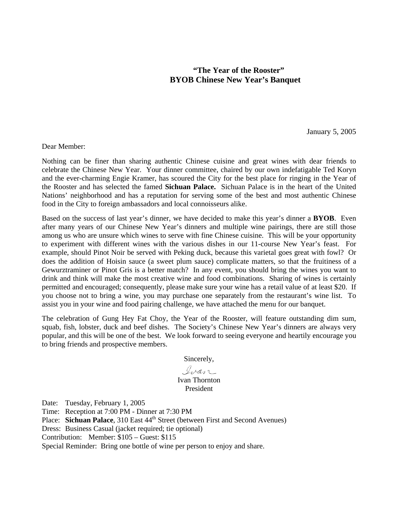### **"The Year of the Rooster" BYOB Chinese New Year's Banquet**

January 5, 2005

Dear Member:

Nothing can be finer than sharing authentic Chinese cuisine and great wines with dear friends to celebrate the Chinese New Year. Your dinner committee, chaired by our own indefatigable Ted Koryn and the ever-charming Engie Kramer, has scoured the City for the best place for ringing in the Year of the Rooster and has selected the famed **Sichuan Palace.** Sichuan Palace is in the heart of the United Nations' neighborhood and has a reputation for serving some of the best and most authentic Chinese food in the City to foreign ambassadors and local connoisseurs alike.

Based on the success of last year's dinner, we have decided to make this year's dinner a **BYOB**. Even after many years of our Chinese New Year's dinners and multiple wine pairings, there are still those among us who are unsure which wines to serve with fine Chinese cuisine. This will be your opportunity to experiment with different wines with the various dishes in our 11-course New Year's feast. For example, should Pinot Noir be served with Peking duck, because this varietal goes great with fowl? Or does the addition of Hoisin sauce (a sweet plum sauce) complicate matters, so that the fruitiness of a Gewurztraminer or Pinot Gris is a better match? In any event, you should bring the wines you want to drink and think will make the most creative wine and food combinations. Sharing of wines is certainly permitted and encouraged; consequently, please make sure your wine has a retail value of at least \$20. If you choose not to bring a wine, you may purchase one separately from the restaurant's wine list. To assist you in your wine and food pairing challenge, we have attached the menu for our banquet.

The celebration of Gung Hey Fat Choy, the Year of the Rooster, will feature outstanding dim sum, squab, fish, lobster, duck and beef dishes. The Society's Chinese New Year's dinners are always very popular, and this will be one of the best. We look forward to seeing everyone and heartily encourage you to bring friends and prospective members.

Sincerely,

Ivan

#### Ivan Thornton President

Date: Tuesday, February 1, 2005

Time: Reception at 7:00 PM - Dinner at 7:30 PM

Place: **Sichuan Palace**, 310 East 44<sup>th</sup> Street (between First and Second Avenues)

Dress: Business Casual (jacket required; tie optional)

Contribution: Member: \$105 – Guest: \$115

Special Reminder: Bring one bottle of wine per person to enjoy and share.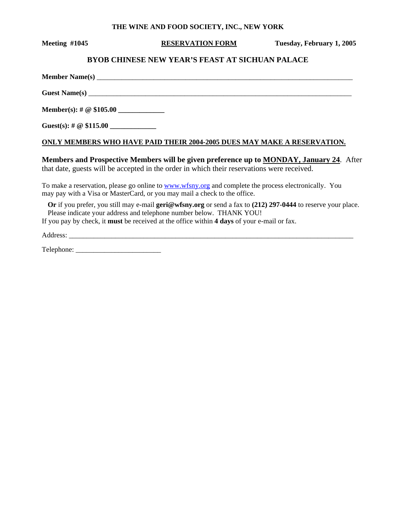#### **THE WINE AND FOOD SOCIETY, INC., NEW YORK**

**Meeting #1045 RESERVATION FORM Tuesday, February 1, 2005** 

#### **BYOB CHINESE NEW YEAR'S FEAST AT SICHUAN PALACE**

**Member Name(s)** \_\_\_\_\_\_\_\_\_\_\_\_\_\_\_\_\_\_\_\_\_\_\_\_\_\_\_\_\_\_\_\_\_\_\_\_\_\_\_\_\_\_\_\_\_\_\_\_\_\_\_\_\_\_\_\_\_\_\_\_\_\_\_\_\_\_\_\_\_\_\_\_ Guest Name(s) **Member(s): # @ \$105.00 \_\_\_\_\_\_\_\_\_\_\_\_\_** 

**Guest(s):** #  $\omega$  \$115.00

#### **ONLY MEMBERS WHO HAVE PAID THEIR 2004-2005 DUES MAY MAKE A RESERVATION.**

**Members and Prospective Members will be given preference up to MONDAY, January 24**. After that date, guests will be accepted in the order in which their reservations were received.

To make a reservation, please go online to www.wfsny.org and complete the process electronically. You may pay with a Visa or MasterCard, or you may mail a check to the office.

**Or** if you prefer, you still may e-mail **geri@wfsny.org** or send a fax to **(212) 297-0444** to reserve your place. Please indicate your address and telephone number below. THANK YOU!

If you pay by check, it **must** be received at the office within **4 days** of your e-mail or fax.

Address: \_\_\_\_\_\_\_\_\_\_\_\_\_\_\_\_\_\_\_\_\_\_\_\_\_\_\_\_\_\_\_\_\_\_\_\_\_\_\_\_\_\_\_\_\_\_\_\_\_\_\_\_\_\_\_\_\_\_\_\_\_\_\_\_\_\_\_\_\_\_\_\_\_\_\_\_\_\_\_\_

Telephone: \_\_\_\_\_\_\_\_\_\_\_\_\_\_\_\_\_\_\_\_\_\_\_\_